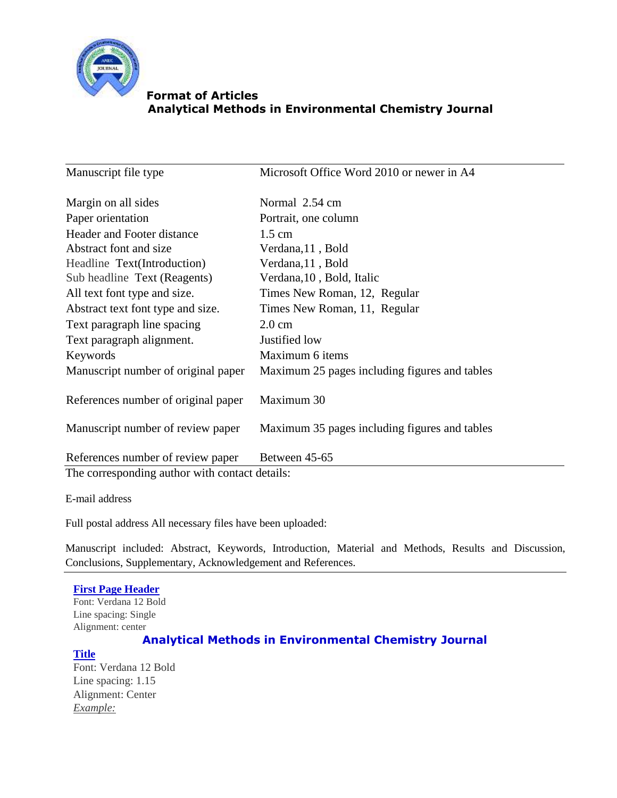

Manuscript file type Microsoft Office Word 2010 or newer in A4 Margin on all sides Normal 2.54 cm Paper orientation Portrait, one column Header and Footer distance Abstract font and size Headline Text(Introduction) Sub headline Text (Reagents) 1.5 cm Verdana,11 , Bold Verdana,11 , Bold Verdana,10 , Bold, Italic All text font type and size. Times New Roman, 12, Regular Abstract text font type and size. Times New Roman, 11, Regular Text paragraph line spacing 2.0 cm Text paragraph alignment. Justified low Keywords Maximum 6 items Manuscript number of original paper Maximum 25 pages including figures and tables References number of original paper Maximum 30 Manuscript number of review paper Maximum 35 pages including figures and tables References number of review paper Between 45-65 The corresponding author with contact details:

E-mail address

Full postal address All necessary files have been uploaded:

Manuscript included: Abstract, Keywords, Introduction, Material and Methods, Results and Discussion, Conclusions, Supplementary, Acknowledgement and References.

### **First Page Header**

Font: Verdana 12 Bold Line spacing: Single Alignment: center

# **Analytical Methods in Environmental Chemistry Journal**

### **Title**

Font: Verdana 12 Bold Line spacing: 1.15 Alignment: Center *Example:*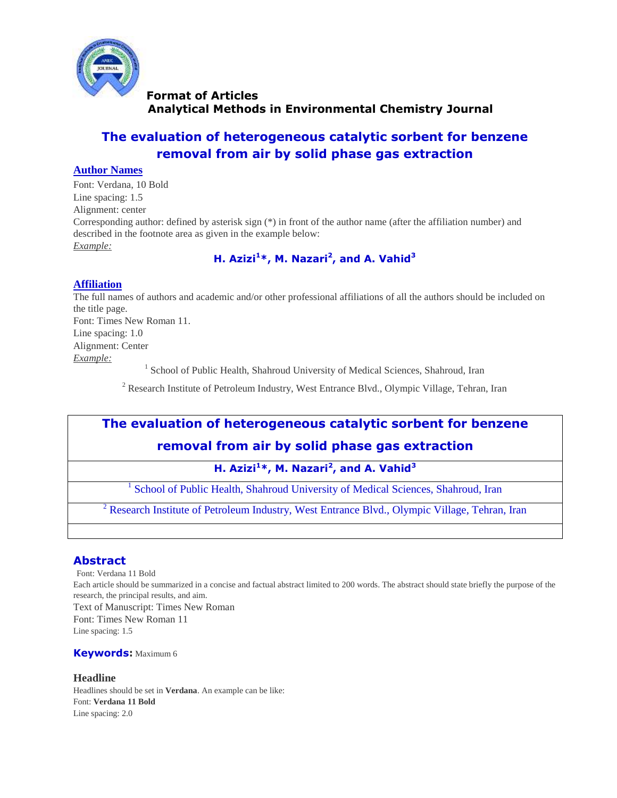

# **The evaluation of heterogeneous catalytic sorbent for benzene removal from air by solid phase gas extraction**

### **Author Names**

Font: Verdana, 10 Bold Line spacing: 1.5 Alignment: center Corresponding author: defined by asterisk sign (\*) in front of the author name (after the affiliation number) and described in the footnote area as given in the example below: *Example:*

# **H. Azizi<sup>1</sup>\*, M. Nazari<sup>2</sup> , and A. Vahid<sup>3</sup>**

### **Affiliation**

The full names of authors and academic and/or other professional affiliations of all the authors should be included on the title page. Font: Times New Roman 11. Line spacing: 1.0 Alignment: Center *Example:* <sup>1</sup> School of Public Health, Shahroud University of Medical Sciences, Shahroud, Iran

<sup>2</sup> Research Institute of Petroleum Industry, West Entrance Blvd., Olympic Village, Tehran, Iran

# **The evaluation of heterogeneous catalytic sorbent for benzene removal from air by solid phase gas extraction**

### **H. Azizi<sup>1</sup>\*, M. Nazari<sup>2</sup> , and A. Vahid<sup>3</sup>**

1 School of Public Health, Shahroud University of Medical Sciences, Shahroud, Iran

<sup>2</sup> Research Institute of Petroleum Industry, West Entrance Blvd., Olympic Village, Tehran, Iran

# **Abstract**

Font: Verdana 11 Bold Each article should be summarized in a concise and factual abstract limited to 200 words. The abstract should state briefly the purpose of the research, the principal results, and aim. Text of Manuscript: Times New Roman Font: Times New Roman 11 Line spacing: 1.5

#### **Keywords:** Maximum 6

### **Headline**

Headlines should be set in **Verdana**. An example can be like: Font: **Verdana 11 Bold** Line spacing: 2.0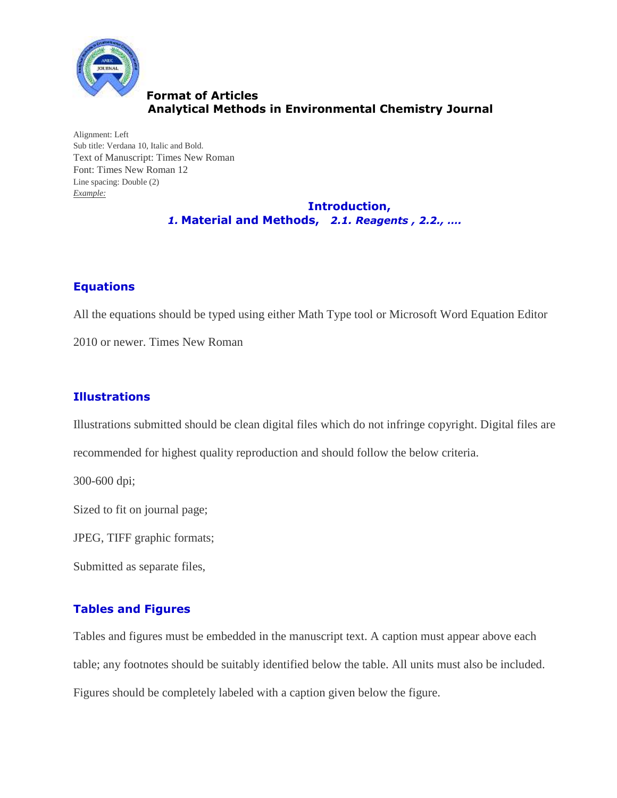

Alignment: Left Sub title: Verdana 10, Italic and Bold. Text of Manuscript: Times New Roman Font: Times New Roman 12 Line spacing: Double (2) *Example:*

 **Introduction,**  *1.* **Material and Methods,** *2.1. Reagents , 2.2., ….*

# **Equations**

All the equations should be typed using either Math Type tool or Microsoft Word Equation Editor

2010 or newer. Times New Roman

# **Illustrations**

Illustrations submitted should be clean digital files which do not infringe copyright. Digital files are

recommended for highest quality reproduction and should follow the below criteria.

300-600 dpi;

Sized to fit on journal page;

JPEG, TIFF graphic formats;

Submitted as separate files,

# **Tables and Figures**

Tables and figures must be embedded in the manuscript text. A caption must appear above each table; any footnotes should be suitably identified below the table. All units must also be included. Figures should be completely labeled with a caption given below the figure.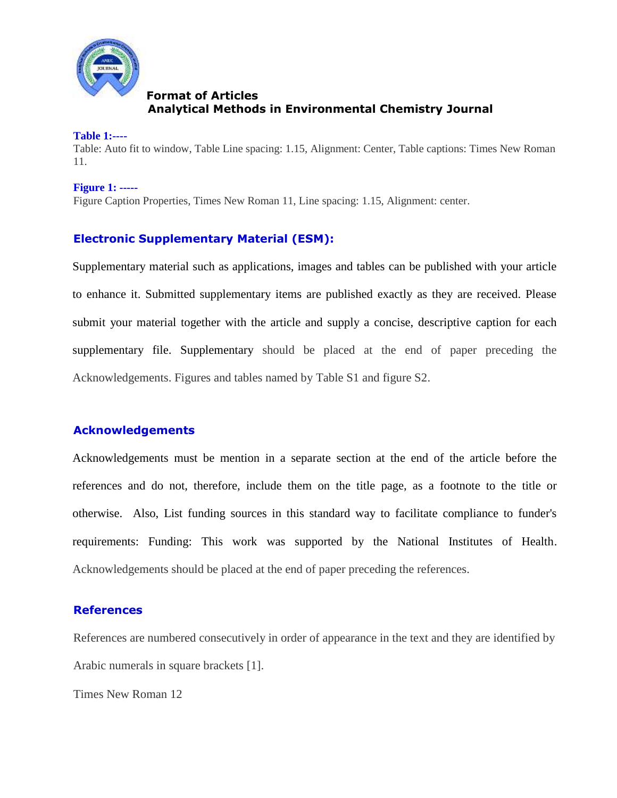

### **Table 1:----**

Table: Auto fit to window, Table Line spacing: 1.15, Alignment: Center, Table captions: Times New Roman 11.

### **Figure 1: -----**

Figure Caption Properties, Times New Roman 11, Line spacing: 1.15, Alignment: center.

# **Electronic Supplementary Material (ESM):**

Supplementary material such as applications, images and tables can be published with your article to enhance it. Submitted supplementary items are published exactly as they are received. Please submit your material together with the article and supply a concise, descriptive caption for each supplementary file. Supplementary should be placed at the end of paper preceding the Acknowledgements. Figures and tables named by Table S1 and figure S2.

# **Acknowledgements**

Acknowledgements must be mention in a separate section at the end of the article before the references and do not, therefore, include them on the title page, as a footnote to the title or otherwise. Also, List funding sources in this standard way to facilitate compliance to funder's requirements: Funding: This work was supported by the National Institutes of Health. Acknowledgements should be placed at the end of paper preceding the references.

### **References**

References are numbered consecutively in order of appearance in the text and they are identified by Arabic numerals in square brackets [1].

Times New Roman 12